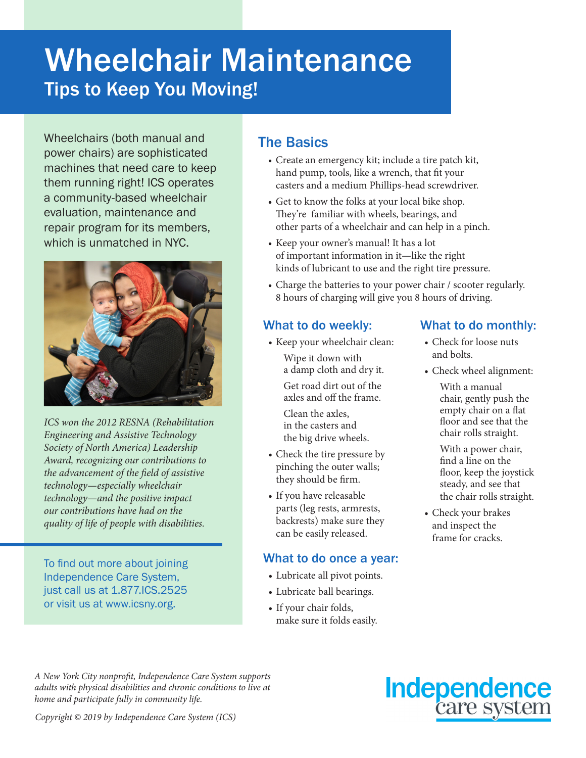# Wheelchair Maintenance Tips to Keep You Moving!

Wheelchairs (both manual and power chairs) are sophisticated machines that need care to keep them running right! ICS operates a community-based wheelchair evaluation, maintenance and repair program for its members, which is unmatched in NYC.



*ICS won the 2012 RESNA (Rehabilitation Engineering and Assistive Technology Society of North America) Leadership Award, recognizing our contributions to the advancement of the field of assistive technology—especially wheelchair technology—and the positive impact our contributions have had on the quality of life of people with disabilities.*

To find out more about joining Independence Care System, just call us at 1.877.ICS.2525 or visit us at www.icsny.org.

### The Basics

- Create an emergency kit; include a tire patch kit, hand pump, tools, like a wrench, that fit your casters and a medium Phillips-head screwdriver.
- Get to know the folks at your local bike shop. They're familiar with wheels, bearings, and other parts of a wheelchair and can help in a pinch.
- Keep your owner's manual! It has a lot of important information in it—like the right kinds of lubricant to use and the right tire pressure.
- Charge the batteries to your power chair / scooter regularly. 8 hours of charging will give you 8 hours of driving.

### What to do weekly:

• Keep your wheelchair clean: Wipe it down with a damp cloth and dry it.

> Get road dirt out of the axles and off the frame.

Clean the axles, in the casters and the big drive wheels.

- Check the tire pressure by pinching the outer walls; they should be firm.
- If you have releasable parts (leg rests, armrests, backrests) make sure they can be easily released.

#### What to do once a year:

- Lubricate all pivot points.
- Lubricate ball bearings.
- If your chair folds, make sure it folds easily.

#### What to do monthly:

- Check for loose nuts and bolts.
- Check wheel alignment:
	- With a manual chair, gently push the empty chair on a flat floor and see that the chair rolls straight.

With a power chair, find a line on the floor, keep the joystick steady, and see that the chair rolls straight.

• Check your brakes and inspect the frame for cracks.

*A New York City nonprofit, Independence Care System supports adults with physical disabilities and chronic conditions to live at home and participate fully in community life.*



*Copyright © 2019 by Independence Care System (ICS)*